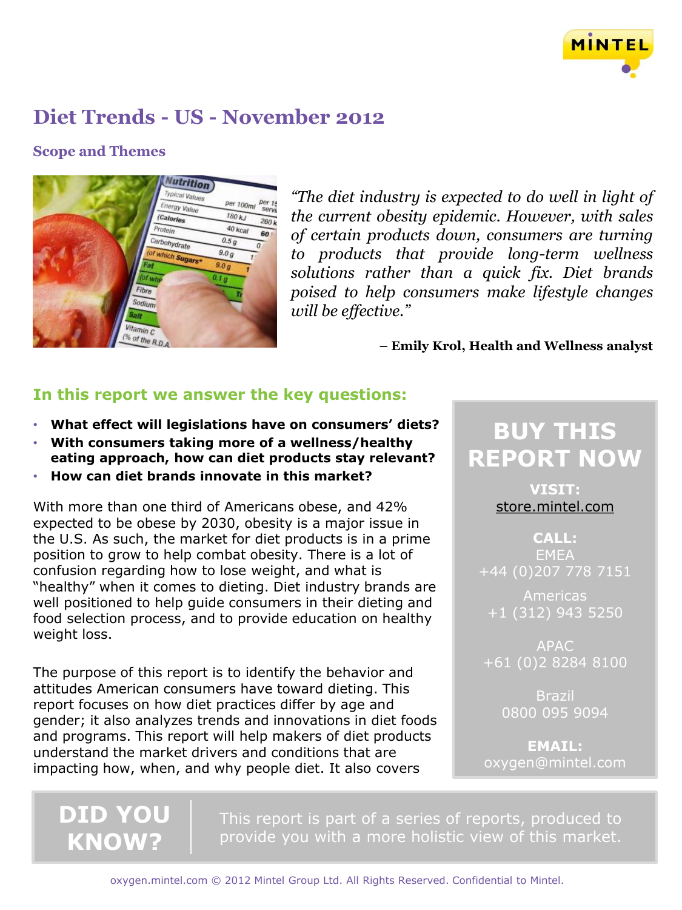

## **Scope and Themes**



*"The diet industry is expected to do well in light of the current obesity epidemic. However, with sales of certain products down, consumers are turning to products that provide long-term wellness solutions rather than a quick fix. Diet brands poised to help consumers make lifestyle changes will be effective."*

**– Emily Krol, Health and Wellness analyst**

## **In this report we answer the key questions:**

- **What effect will legislations have on consumers' diets?**
- **With consumers taking more of a wellness/healthy eating approach, how can diet products stay relevant?**
- **How can diet brands innovate in this market?**

With more than one third of Americans obese, and 42% expected to be obese by 2030, obesity is a major issue in the U.S. As such, the market for diet products is in a prime position to grow to help combat obesity. There is a lot of confusion regarding how to lose weight, and what is "healthy" when it comes to dieting. Diet industry brands are well positioned to help guide consumers in their dieting and food selection process, and to provide education on healthy weight loss.

The purpose of this report is to identify the behavior and attitudes American consumers have toward dieting. This report focuses on how diet practices differ by age and gender; it also analyzes trends and innovations in diet foods and programs. This report will help makers of diet products understand the market drivers and conditions that are impacting how, when, and why people diet. It also covers

# **BUY THIS REPORT NOW**

**VISIT:** [store.mintel.com](http://oxygen.mintel.com/display/590769)

**CALL: EMEA** +44 (0)207 778 7151

+1 (312) 943 5250

APAC +61 (0)2 8284 8100

> Brazil 0800 095 9094

**EMAIL:** oxygen@mintel.com

**DID YOU KNOW?**

This report is part of a series of reports, produced to provide you with a more holistic view of this market.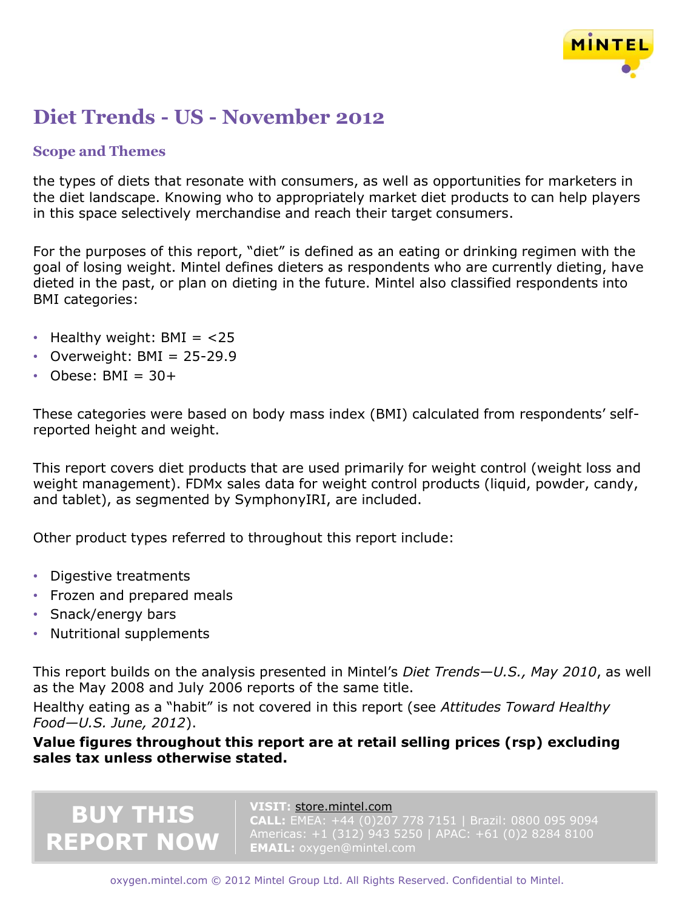

### **Scope and Themes**

the types of diets that resonate with consumers, as well as opportunities for marketers in the diet landscape. Knowing who to appropriately market diet products to can help players in this space selectively merchandise and reach their target consumers.

For the purposes of this report, "diet" is defined as an eating or drinking regimen with the goal of losing weight. Mintel defines dieters as respondents who are currently dieting, have dieted in the past, or plan on dieting in the future. Mintel also classified respondents into BMI categories:

- Healthy weight:  $BMI = < 25$
- Overweight:  $BMI = 25-29.9$
- Obese:  $BMI = 30+$

These categories were based on body mass index (BMI) calculated from respondents' selfreported height and weight.

This report covers diet products that are used primarily for weight control (weight loss and weight management). FDMx sales data for weight control products (liquid, powder, candy, and tablet), as segmented by SymphonyIRI, are included.

Other product types referred to throughout this report include:

- Digestive treatments
- Frozen and prepared meals

**BUY THIS**

**REPORT NOW**

- Snack/energy bars
- Nutritional supplements

This report builds on the analysis presented in Mintel's *Diet Trends—U.S., May 2010*, as well as the May 2008 and July 2006 reports of the same title.

Healthy eating as a "habit" is not covered in this report (see *Attitudes Toward Healthy Food—U.S. June, 2012*).

**Value figures throughout this report are at retail selling prices (rsp) excluding sales tax unless otherwise stated.** 

#### **VISIT:** [store.mintel.com](http://oxygen.mintel.com/display/590769)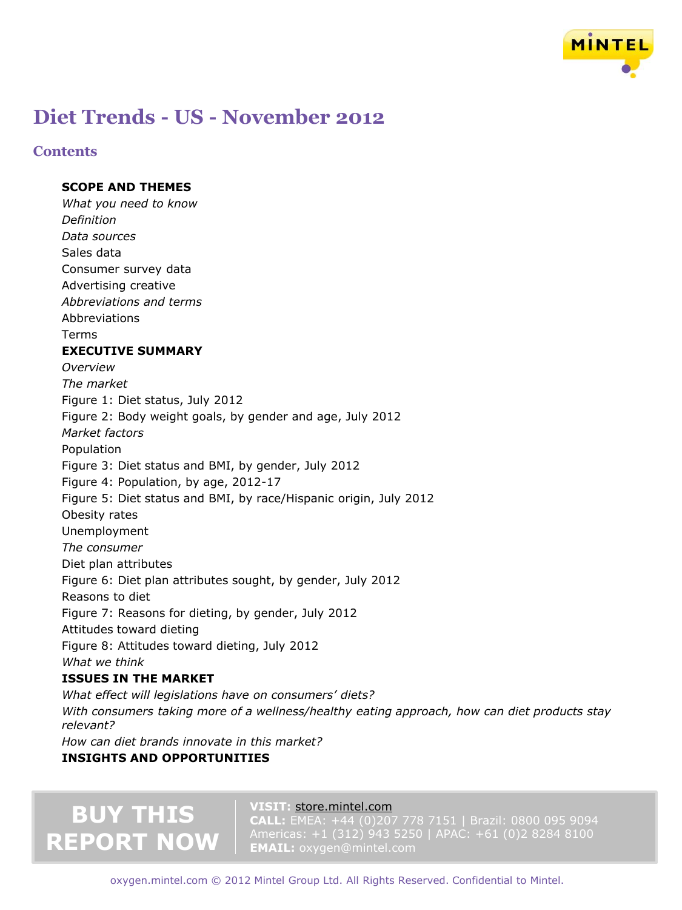

### **Contents**

#### **SCOPE AND THEMES**

*What you need to know Definition Data sources* Sales data Consumer survey data Advertising creative *Abbreviations and terms* Abbreviations Terms **EXECUTIVE SUMMARY** *Overview The market* Figure 1: Diet status, July 2012 Figure 2: Body weight goals, by gender and age, July 2012 *Market factors* Population Figure 3: Diet status and BMI, by gender, July 2012 Figure 4: Population, by age, 2012-17 Figure 5: Diet status and BMI, by race/Hispanic origin, July 2012 Obesity rates Unemployment *The consumer* Diet plan attributes Figure 6: Diet plan attributes sought, by gender, July 2012 Reasons to diet Figure 7: Reasons for dieting, by gender, July 2012 Attitudes toward dieting Figure 8: Attitudes toward dieting, July 2012 *What we think* **ISSUES IN THE MARKET**

*What effect will legislations have on consumers' diets? With consumers taking more of a wellness/healthy eating approach, how can diet products stay relevant? How can diet brands innovate in this market?*

**INSIGHTS AND OPPORTUNITIES**

# **BUY THIS REPORT NOW**

#### **VISIT:** [store.mintel.com](http://oxygen.mintel.com/display/590769)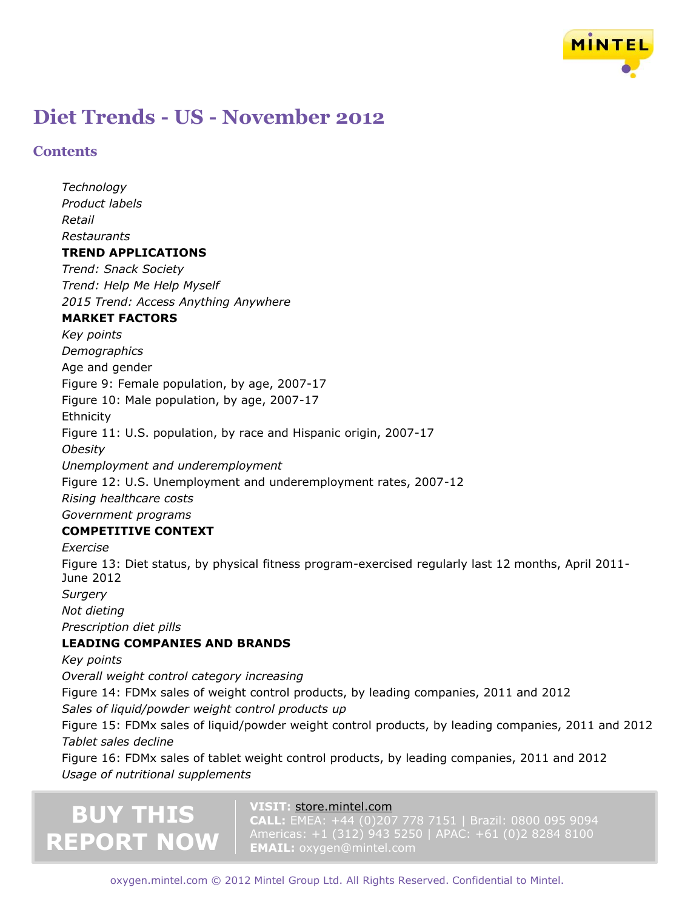

### **Contents**

*Technology Product labels Retail Restaurants* **TREND APPLICATIONS** *Trend: Snack Society Trend: Help Me Help Myself 2015 Trend: Access Anything Anywhere* **MARKET FACTORS** *Key points Demographics* Age and gender Figure 9: Female population, by age, 2007-17 Figure 10: Male population, by age, 2007-17 **Ethnicity** Figure 11: U.S. population, by race and Hispanic origin, 2007-17 *Obesity Unemployment and underemployment* Figure 12: U.S. Unemployment and underemployment rates, 2007-12 *Rising healthcare costs Government programs* **COMPETITIVE CONTEXT**

*Exercise* Figure 13: Diet status, by physical fitness program-exercised regularly last 12 months, April 2011- June 2012 *Surgery Not dieting Prescription diet pills* **LEADING COMPANIES AND BRANDS**

*Key points*

*Overall weight control category increasing* Figure 14: FDMx sales of weight control products, by leading companies, 2011 and 2012 *Sales of liquid/powder weight control products up*

Figure 15: FDMx sales of liquid/powder weight control products, by leading companies, 2011 and 2012 *Tablet sales decline*

Figure 16: FDMx sales of tablet weight control products, by leading companies, 2011 and 2012 *Usage of nutritional supplements*

# **BUY THIS REPORT NOW**

#### **VISIT:** [store.mintel.com](http://oxygen.mintel.com/display/590769)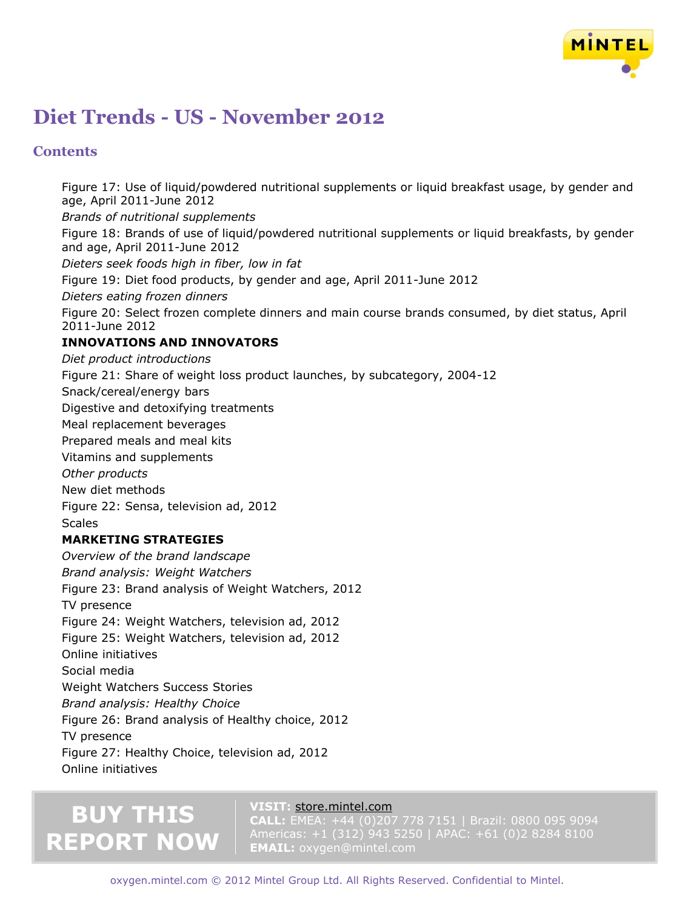

### **Contents**

Figure 17: Use of liquid/powdered nutritional supplements or liquid breakfast usage, by gender and age, April 2011-June 2012 *Brands of nutritional supplements* Figure 18: Brands of use of liquid/powdered nutritional supplements or liquid breakfasts, by gender and age, April 2011-June 2012 *Dieters seek foods high in fiber, low in fat* Figure 19: Diet food products, by gender and age, April 2011-June 2012 *Dieters eating frozen dinners* Figure 20: Select frozen complete dinners and main course brands consumed, by diet status, April 2011-June 2012 **INNOVATIONS AND INNOVATORS** *Diet product introductions* Figure 21: Share of weight loss product launches, by subcategory, 2004-12 Snack/cereal/energy bars Digestive and detoxifying treatments Meal replacement beverages Prepared meals and meal kits Vitamins and supplements *Other products* New diet methods Figure 22: Sensa, television ad, 2012 **Scales MARKETING STRATEGIES** *Overview of the brand landscape Brand analysis: Weight Watchers* Figure 23: Brand analysis of Weight Watchers, 2012 TV presence Figure 24: Weight Watchers, television ad, 2012 Figure 25: Weight Watchers, television ad, 2012 Online initiatives Social media Weight Watchers Success Stories *Brand analysis: Healthy Choice* Figure 26: Brand analysis of Healthy choice, 2012 TV presence Figure 27: Healthy Choice, television ad, 2012 Online initiatives

# **BUY THIS REPORT NOW**

#### **VISIT:** [store.mintel.com](http://oxygen.mintel.com/display/590769)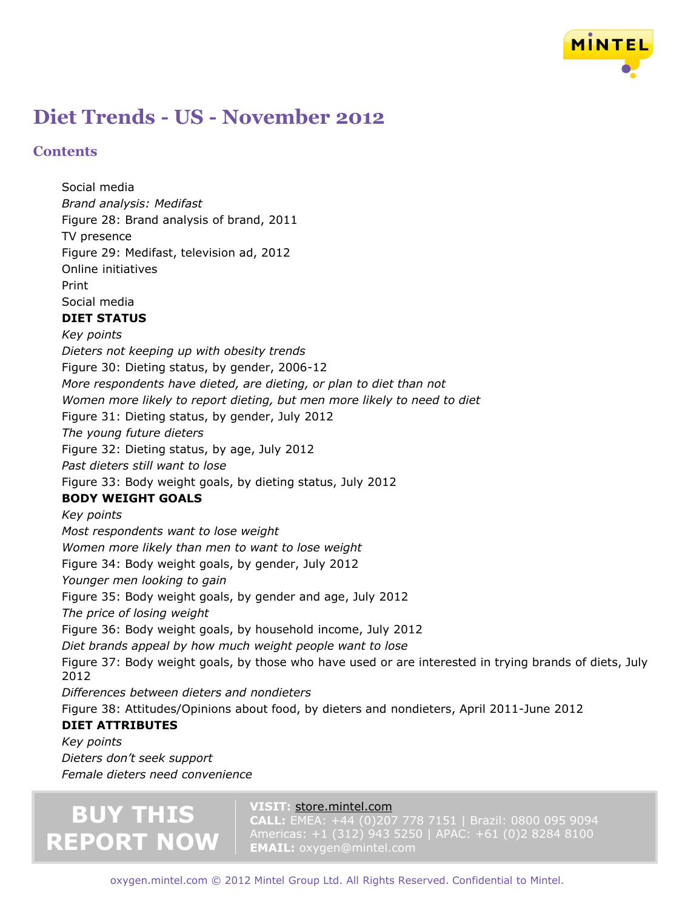

### **Contents**

Social media

*Brand analysis: Medifast* Figure 28: Brand analysis of brand, 2011 TV presence Figure 29: Medifast, television ad, 2012 Online initiatives Print Social media **DIET STATUS** *Key points Dieters not keeping up with obesity trends* Figure 30: Dieting status, by gender, 2006-12 *More respondents have dieted, are dieting, or plan to diet than not Women more likely to report dieting, but men more likely to need to diet* Figure 31: Dieting status, by gender, July 2012 *The young future dieters* Figure 32: Dieting status, by age, July 2012 *Past dieters still want to lose* Figure 33: Body weight goals, by dieting status, July 2012 **BODY WEIGHT GOALS** *Key points Most respondents want to lose weight Women more likely than men to want to lose weight* Figure 34: Body weight goals, by gender, July 2012 *Younger men looking to gain* Figure 35: Body weight goals, by gender and age, July 2012 *The price of losing weight* Figure 36: Body weight goals, by household income, July 2012 *Diet brands appeal by how much weight people want to lose* Figure 37: Body weight goals, by those who have used or are interested in trying brands of diets, July 2012 *Differences between dieters and nondieters* Figure 38: Attitudes/Opinions about food, by dieters and nondieters, April 2011-June 2012 **DIET ATTRIBUTES**

*Key points Dieters don't seek support Female dieters need convenience*

# **BUY THIS REPORT NOW**

#### **VISIT:** [store.mintel.com](http://oxygen.mintel.com/display/590769)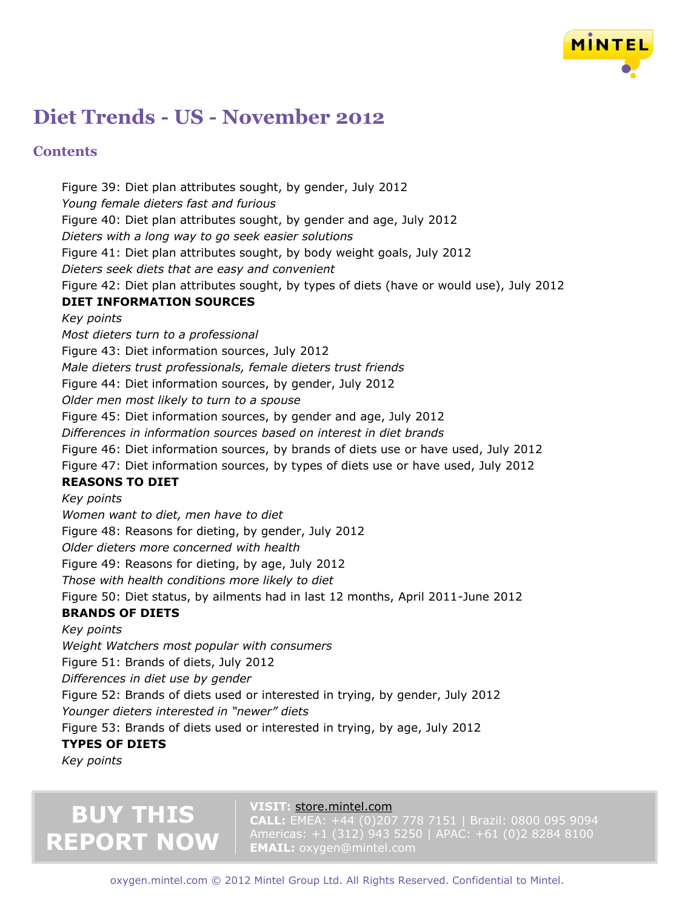

### **Contents**

Figure 39: Diet plan attributes sought, by gender, July 2012 *Young female dieters fast and furious* Figure 40: Diet plan attributes sought, by gender and age, July 2012 *Dieters with a long way to go seek easier solutions* Figure 41: Diet plan attributes sought, by body weight goals, July 2012 *Dieters seek diets that are easy and convenient* Figure 42: Diet plan attributes sought, by types of diets (have or would use), July 2012 **DIET INFORMATION SOURCES** *Key points Most dieters turn to a professional* Figure 43: Diet information sources, July 2012 *Male dieters trust professionals, female dieters trust friends* Figure 44: Diet information sources, by gender, July 2012 *Older men most likely to turn to a spouse* Figure 45: Diet information sources, by gender and age, July 2012 *Differences in information sources based on interest in diet brands* Figure 46: Diet information sources, by brands of diets use or have used, July 2012 Figure 47: Diet information sources, by types of diets use or have used, July 2012 **REASONS TO DIET** *Key points Women want to diet, men have to diet* Figure 48: Reasons for dieting, by gender, July 2012 *Older dieters more concerned with health* Figure 49: Reasons for dieting, by age, July 2012 *Those with health conditions more likely to diet* Figure 50: Diet status, by ailments had in last 12 months, April 2011-June 2012 **BRANDS OF DIETS** *Key points Weight Watchers most popular with consumers* Figure 51: Brands of diets, July 2012 *Differences in diet use by gender* Figure 52: Brands of diets used or interested in trying, by gender, July 2012 *Younger dieters interested in "newer" diets*

Figure 53: Brands of diets used or interested in trying, by age, July 2012

### **TYPES OF DIETS**

*Key points*

# **BUY THIS REPORT NOW**

#### **VISIT:** [store.mintel.com](http://oxygen.mintel.com/display/590769)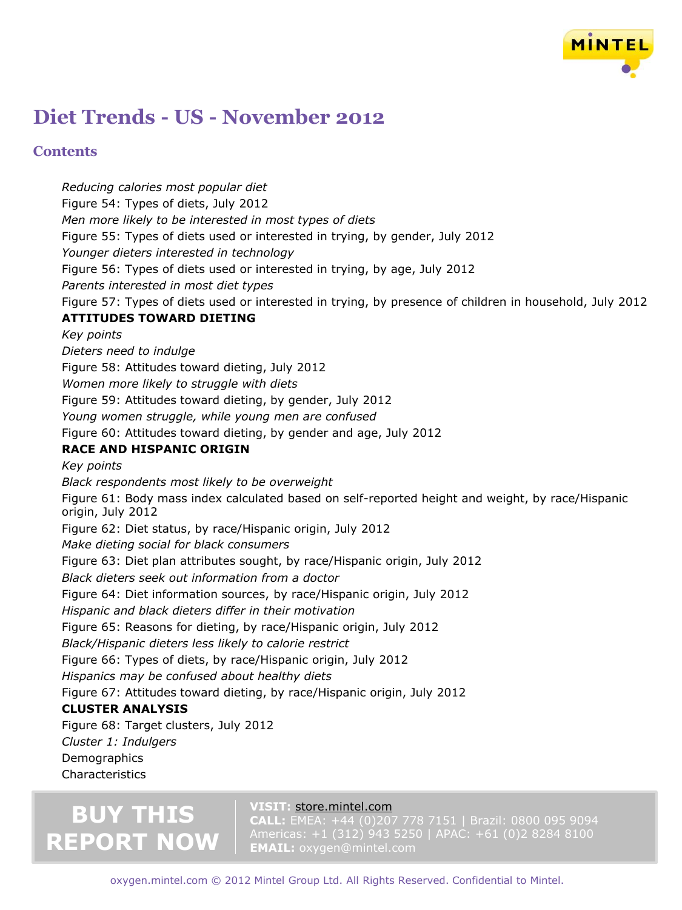

### **Contents**

*Reducing calories most popular diet* Figure 54: Types of diets, July 2012 *Men more likely to be interested in most types of diets* Figure 55: Types of diets used or interested in trying, by gender, July 2012 *Younger dieters interested in technology* Figure 56: Types of diets used or interested in trying, by age, July 2012 *Parents interested in most diet types* Figure 57: Types of diets used or interested in trying, by presence of children in household, July 2012 **ATTITUDES TOWARD DIETING** *Key points Dieters need to indulge* Figure 58: Attitudes toward dieting, July 2012 *Women more likely to struggle with diets* Figure 59: Attitudes toward dieting, by gender, July 2012 *Young women struggle, while young men are confused* Figure 60: Attitudes toward dieting, by gender and age, July 2012 **RACE AND HISPANIC ORIGIN** *Key points Black respondents most likely to be overweight* Figure 61: Body mass index calculated based on self-reported height and weight, by race/Hispanic origin, July 2012 Figure 62: Diet status, by race/Hispanic origin, July 2012 *Make dieting social for black consumers* Figure 63: Diet plan attributes sought, by race/Hispanic origin, July 2012 *Black dieters seek out information from a doctor* Figure 64: Diet information sources, by race/Hispanic origin, July 2012 *Hispanic and black dieters differ in their motivation* Figure 65: Reasons for dieting, by race/Hispanic origin, July 2012 *Black/Hispanic dieters less likely to calorie restrict* Figure 66: Types of diets, by race/Hispanic origin, July 2012 *Hispanics may be confused about healthy diets* Figure 67: Attitudes toward dieting, by race/Hispanic origin, July 2012 **CLUSTER ANALYSIS** Figure 68: Target clusters, July 2012 *Cluster 1: Indulgers*

**Demographics** Characteristics

# **BUY THIS REPORT NOW**

#### **VISIT:** [store.mintel.com](http://oxygen.mintel.com/display/590769)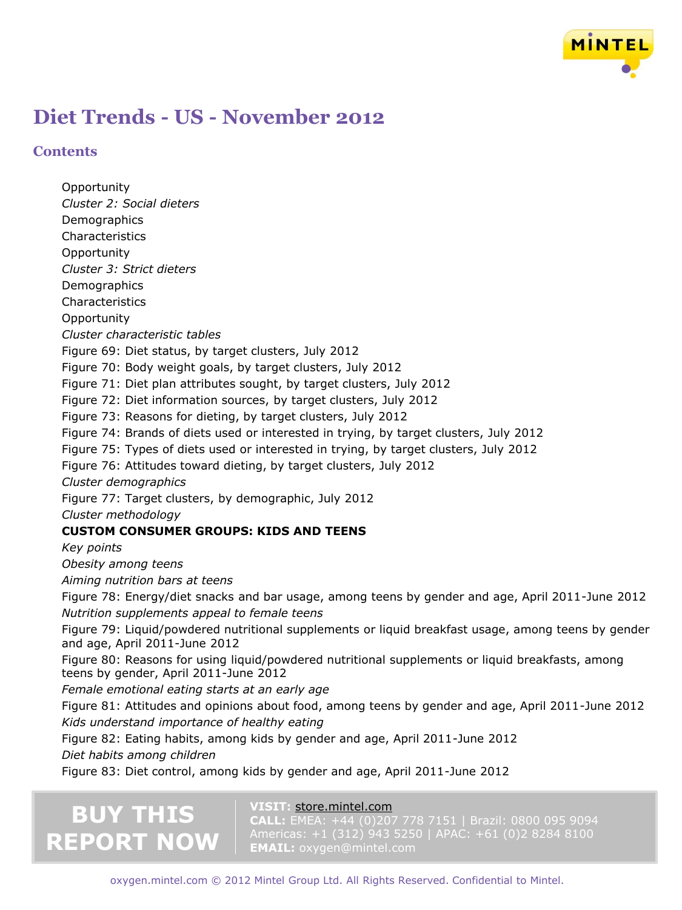

**Contents**

**Opportunity** *Cluster 2: Social dieters* **Demographics Characteristics Opportunity** *Cluster 3: Strict dieters* **Demographics** Characteristics **Opportunity** *Cluster characteristic tables* Figure 69: Diet status, by target clusters, July 2012 Figure 70: Body weight goals, by target clusters, July 2012 Figure 71: Diet plan attributes sought, by target clusters, July 2012 Figure 72: Diet information sources, by target clusters, July 2012 Figure 73: Reasons for dieting, by target clusters, July 2012 Figure 74: Brands of diets used or interested in trying, by target clusters, July 2012 Figure 75: Types of diets used or interested in trying, by target clusters, July 2012 Figure 76: Attitudes toward dieting, by target clusters, July 2012 *Cluster demographics* Figure 77: Target clusters, by demographic, July 2012 *Cluster methodology* **CUSTOM CONSUMER GROUPS: KIDS AND TEENS** *Key points Obesity among teens Aiming nutrition bars at teens* Figure 78: Energy/diet snacks and bar usage, among teens by gender and age, April 2011-June 2012 *Nutrition supplements appeal to female teens* Figure 79: Liquid/powdered nutritional supplements or liquid breakfast usage, among teens by gender and age, April 2011-June 2012 Figure 80: Reasons for using liquid/powdered nutritional supplements or liquid breakfasts, among teens by gender, April 2011-June 2012 *Female emotional eating starts at an early age* Figure 81: Attitudes and opinions about food, among teens by gender and age, April 2011-June 2012 *Kids understand importance of healthy eating* Figure 82: Eating habits, among kids by gender and age, April 2011-June 2012 *Diet habits among children* Figure 83: Diet control, among kids by gender and age, April 2011-June 2012

# **BUY THIS REPORT NOW**

#### **VISIT:** [store.mintel.com](http://oxygen.mintel.com/display/590769)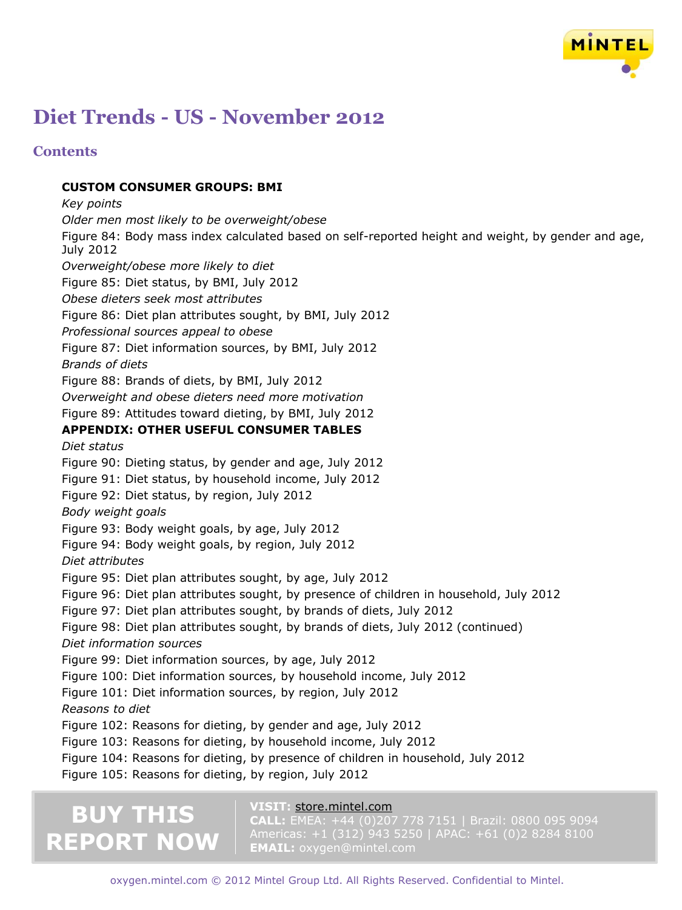

### **Contents**

#### **CUSTOM CONSUMER GROUPS: BMI**

*Key points Older men most likely to be overweight/obese* Figure 84: Body mass index calculated based on self-reported height and weight, by gender and age, July 2012 *Overweight/obese more likely to diet* Figure 85: Diet status, by BMI, July 2012 *Obese dieters seek most attributes* Figure 86: Diet plan attributes sought, by BMI, July 2012 *Professional sources appeal to obese* Figure 87: Diet information sources, by BMI, July 2012 *Brands of diets* Figure 88: Brands of diets, by BMI, July 2012 *Overweight and obese dieters need more motivation* Figure 89: Attitudes toward dieting, by BMI, July 2012 **APPENDIX: OTHER USEFUL CONSUMER TABLES** *Diet status* Figure 90: Dieting status, by gender and age, July 2012 Figure 91: Diet status, by household income, July 2012 Figure 92: Diet status, by region, July 2012 *Body weight goals* Figure 93: Body weight goals, by age, July 2012 Figure 94: Body weight goals, by region, July 2012 *Diet attributes* Figure 95: Diet plan attributes sought, by age, July 2012 Figure 96: Diet plan attributes sought, by presence of children in household, July 2012 Figure 97: Diet plan attributes sought, by brands of diets, July 2012 Figure 98: Diet plan attributes sought, by brands of diets, July 2012 (continued) *Diet information sources* Figure 99: Diet information sources, by age, July 2012 Figure 100: Diet information sources, by household income, July 2012 Figure 101: Diet information sources, by region, July 2012 *Reasons to diet* Figure 102: Reasons for dieting, by gender and age, July 2012 Figure 103: Reasons for dieting, by household income, July 2012 Figure 104: Reasons for dieting, by presence of children in household, July 2012 Figure 105: Reasons for dieting, by region, July 2012

# **BUY THIS REPORT NOW**

#### **VISIT:** [store.mintel.com](http://oxygen.mintel.com/display/590769)